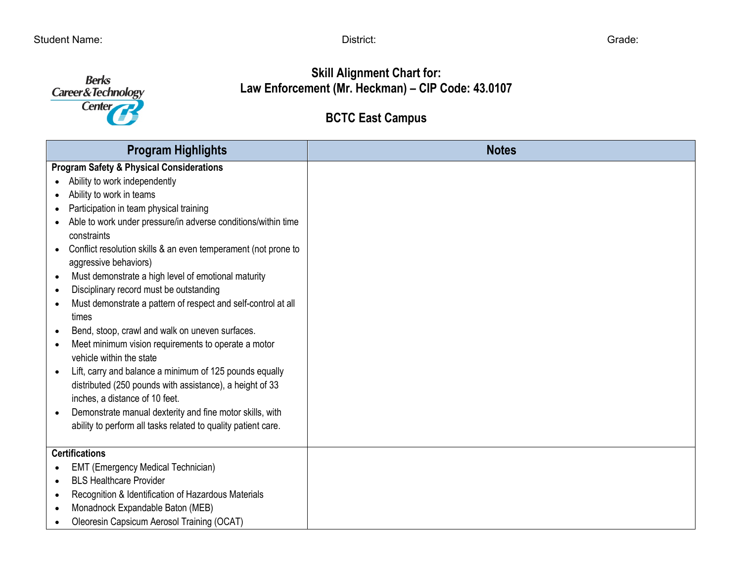

## **Skill Alignment Chart for: Law Enforcement (Mr. Heckman) – CIP Code: 43.0107**

## **BCTC East Campus**

|                                                     | <b>Program Highlights</b>                                                    | <b>Notes</b> |
|-----------------------------------------------------|------------------------------------------------------------------------------|--------------|
| <b>Program Safety &amp; Physical Considerations</b> |                                                                              |              |
|                                                     | Ability to work independently                                                |              |
|                                                     | Ability to work in teams                                                     |              |
|                                                     | Participation in team physical training                                      |              |
|                                                     | Able to work under pressure/in adverse conditions/within time<br>constraints |              |
|                                                     | Conflict resolution skills & an even temperament (not prone to               |              |
|                                                     | aggressive behaviors)                                                        |              |
| $\bullet$                                           | Must demonstrate a high level of emotional maturity                          |              |
|                                                     | Disciplinary record must be outstanding                                      |              |
|                                                     | Must demonstrate a pattern of respect and self-control at all                |              |
|                                                     | times                                                                        |              |
| $\bullet$                                           | Bend, stoop, crawl and walk on uneven surfaces.                              |              |
| $\bullet$                                           | Meet minimum vision requirements to operate a motor                          |              |
|                                                     | vehicle within the state                                                     |              |
|                                                     | Lift, carry and balance a minimum of 125 pounds equally                      |              |
|                                                     | distributed (250 pounds with assistance), a height of 33                     |              |
|                                                     | inches, a distance of 10 feet.                                               |              |
|                                                     | Demonstrate manual dexterity and fine motor skills, with                     |              |
|                                                     | ability to perform all tasks related to quality patient care.                |              |
| <b>Certifications</b>                               |                                                                              |              |
|                                                     |                                                                              |              |
| $\bullet$                                           | <b>EMT (Emergency Medical Technician)</b><br><b>BLS Healthcare Provider</b>  |              |
|                                                     | Recognition & Identification of Hazardous Materials                          |              |
| $\bullet$                                           | Monadnock Expandable Baton (MEB)                                             |              |
|                                                     | Oleoresin Capsicum Aerosol Training (OCAT)                                   |              |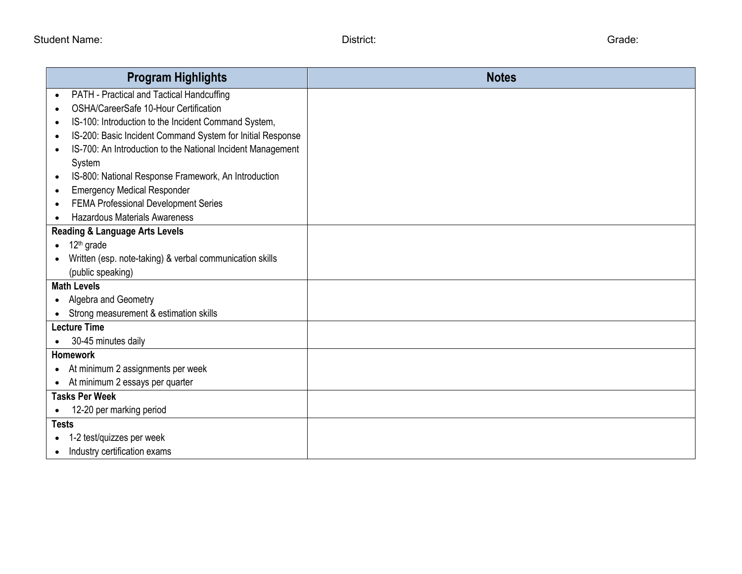| <b>Program Highlights</b>                                               | <b>Notes</b> |
|-------------------------------------------------------------------------|--------------|
| PATH - Practical and Tactical Handcuffing<br>$\bullet$                  |              |
| OSHA/CareerSafe 10-Hour Certification                                   |              |
| IS-100: Introduction to the Incident Command System,                    |              |
| IS-200: Basic Incident Command System for Initial Response<br>$\bullet$ |              |
| IS-700: An Introduction to the National Incident Management             |              |
| System                                                                  |              |
| IS-800: National Response Framework, An Introduction                    |              |
| <b>Emergency Medical Responder</b>                                      |              |
| FEMA Professional Development Series                                    |              |
| <b>Hazardous Materials Awareness</b>                                    |              |
| <b>Reading &amp; Language Arts Levels</b>                               |              |
| 12 <sup>th</sup> grade                                                  |              |
| Written (esp. note-taking) & verbal communication skills                |              |
| (public speaking)                                                       |              |
| <b>Math Levels</b>                                                      |              |
| • Algebra and Geometry                                                  |              |
| • Strong measurement & estimation skills                                |              |
| <b>Lecture Time</b>                                                     |              |
| 30-45 minutes daily<br>$\bullet$                                        |              |
| <b>Homework</b>                                                         |              |
| • At minimum 2 assignments per week                                     |              |
| • At minimum 2 essays per quarter                                       |              |
| <b>Tasks Per Week</b>                                                   |              |
| 12-20 per marking period                                                |              |
| <b>Tests</b>                                                            |              |
| 1-2 test/quizzes per week                                               |              |
| Industry certification exams                                            |              |